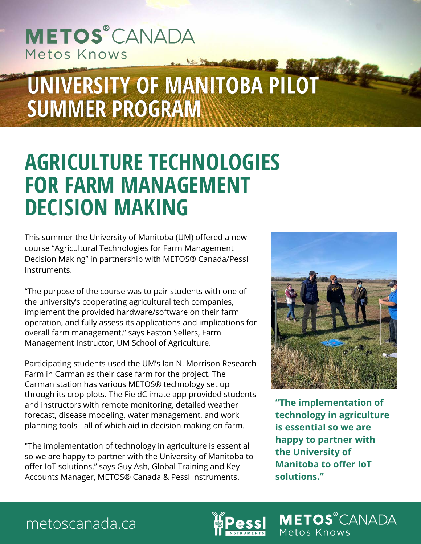## **METOS**<sup>®</sup>CANADA Metos Knows

# UNIVERSITY OF MANITOBA PILOT **SUMMER PROGRAM**

## **AGRICULTURE TECHNOLOGIES FOR FARM MANAGEMENT DECISION MAKING**

This summer the University of Manitoba (UM) offered a new course "Agricultural Technologies for Farm Management Decision Making" in partnership with METOS® Canada/Pessl Instruments.

"The purpose of the course was to pair students with one of the university's cooperating agricultural tech companies, implement the provided hardware/software on their farm operation, and fully assess its applications and implications for overall farm management." says Easton Sellers, Farm Management Instructor, UM School of Agriculture.

Participating students used the UM's Ian N. Morrison Research Farm in Carman as their case farm for the project. The Carman station has various METOS® technology set up through its crop plots. The FieldClimate app provided students and instructors with remote monitoring, detailed weather forecast, disease modeling, water management, and work planning tools - all of which aid in decision-making on farm.

"The implementation of technology in agriculture is essential so we are happy to partner with the University of Manitoba to offer IoT solutions." says Guy Ash, Global Training and Key Accounts Manager, METOS® Canada & Pessl Instruments.



**"The implementation of technology in agriculture is essential so we are happy to partner with the University of Manitoba to offer IoT solutions."**

**METOS**<sup>®</sup>CANADA

Metos Knows

### metoscanada.ca